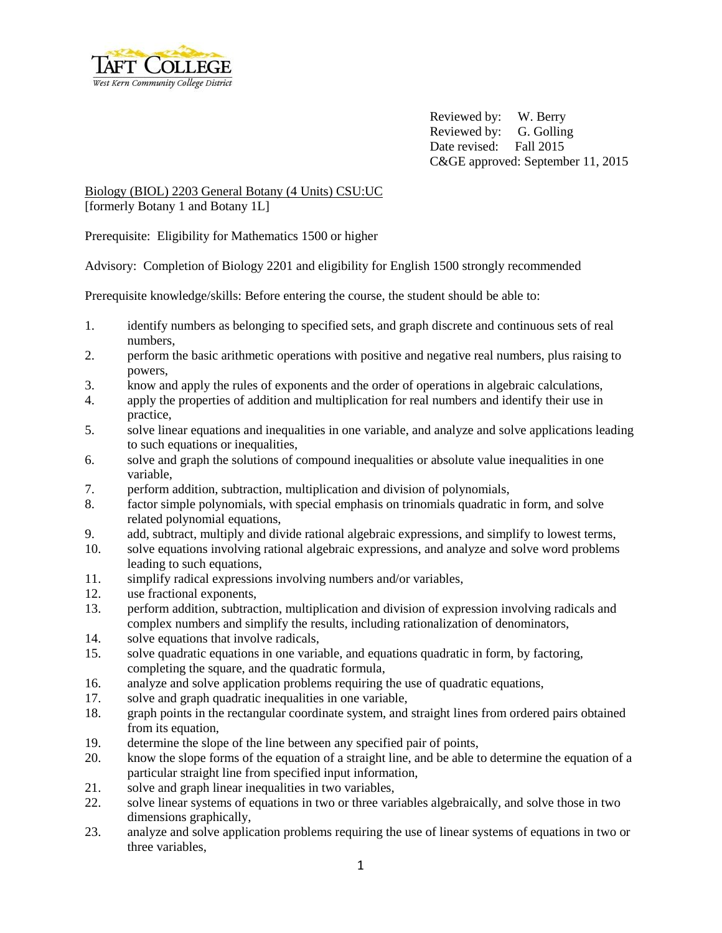

Reviewed by: W. Berry Reviewed by: G. Golling Date revised: Fall 2015 C&GE approved: September 11, 2015

# Biology (BIOL) 2203 General Botany (4 Units) CSU:UC [formerly Botany 1 and Botany 1L]

Prerequisite: Eligibility for Mathematics 1500 or higher

Advisory: Completion of Biology 2201 and eligibility for English 1500 strongly recommended

Prerequisite knowledge/skills: Before entering the course, the student should be able to:

- 1. identify numbers as belonging to specified sets, and graph discrete and continuous sets of real numbers,
- 2. perform the basic arithmetic operations with positive and negative real numbers, plus raising to powers,
- 3. know and apply the rules of exponents and the order of operations in algebraic calculations,
- 4. apply the properties of addition and multiplication for real numbers and identify their use in practice,
- 5. solve linear equations and inequalities in one variable, and analyze and solve applications leading to such equations or inequalities,
- 6. solve and graph the solutions of compound inequalities or absolute value inequalities in one variable,
- 7. perform addition, subtraction, multiplication and division of polynomials,
- 8. factor simple polynomials, with special emphasis on trinomials quadratic in form, and solve related polynomial equations,
- 9. add, subtract, multiply and divide rational algebraic expressions, and simplify to lowest terms,
- 10. solve equations involving rational algebraic expressions, and analyze and solve word problems leading to such equations,
- 11. simplify radical expressions involving numbers and/or variables,
- 12. use fractional exponents,
- 13. perform addition, subtraction, multiplication and division of expression involving radicals and complex numbers and simplify the results, including rationalization of denominators,
- 14. solve equations that involve radicals,
- 15. solve quadratic equations in one variable, and equations quadratic in form, by factoring, completing the square, and the quadratic formula,
- 16. analyze and solve application problems requiring the use of quadratic equations,
- 17. solve and graph quadratic inequalities in one variable,
- 18. graph points in the rectangular coordinate system, and straight lines from ordered pairs obtained from its equation,
- 19. determine the slope of the line between any specified pair of points,
- 20. know the slope forms of the equation of a straight line, and be able to determine the equation of a particular straight line from specified input information,
- 21. solve and graph linear inequalities in two variables,
- 22. solve linear systems of equations in two or three variables algebraically, and solve those in two dimensions graphically,
- 23. analyze and solve application problems requiring the use of linear systems of equations in two or three variables,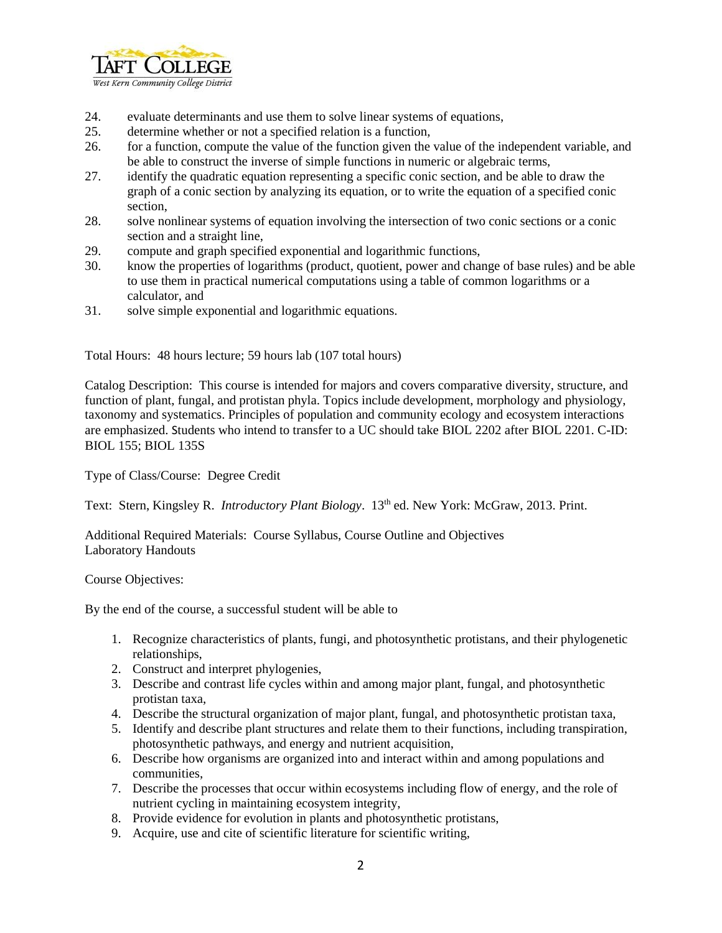

- 24. evaluate determinants and use them to solve linear systems of equations,
- 25. determine whether or not a specified relation is a function,
- 26. for a function, compute the value of the function given the value of the independent variable, and be able to construct the inverse of simple functions in numeric or algebraic terms,
- 27. identify the quadratic equation representing a specific conic section, and be able to draw the graph of a conic section by analyzing its equation, or to write the equation of a specified conic section,
- 28. solve nonlinear systems of equation involving the intersection of two conic sections or a conic section and a straight line,
- 29. compute and graph specified exponential and logarithmic functions,
- 30. know the properties of logarithms (product, quotient, power and change of base rules) and be able to use them in practical numerical computations using a table of common logarithms or a calculator, and
- 31. solve simple exponential and logarithmic equations.

Total Hours: 48 hours lecture; 59 hours lab (107 total hours)

Catalog Description: This course is intended for majors and covers comparative diversity, structure, and function of plant, fungal, and protistan phyla. Topics include development, morphology and physiology, taxonomy and systematics. Principles of population and community ecology and ecosystem interactions are emphasized. Students who intend to transfer to a UC should take BIOL 2202 after BIOL 2201. C-ID: BIOL 155; BIOL 135S

Type of Class/Course: Degree Credit

Text: Stern, Kingsley R. *Introductory Plant Biology*. 13<sup>th</sup> ed. New York: McGraw, 2013. Print.

Additional Required Materials: Course Syllabus, Course Outline and Objectives Laboratory Handouts

#### Course Objectives:

By the end of the course, a successful student will be able to

- 1. Recognize characteristics of plants, fungi, and photosynthetic protistans, and their phylogenetic relationships,
- 2. Construct and interpret phylogenies,
- 3. Describe and contrast life cycles within and among major plant, fungal, and photosynthetic protistan taxa,
- 4. Describe the structural organization of major plant, fungal, and photosynthetic protistan taxa,
- 5. Identify and describe plant structures and relate them to their functions, including transpiration, photosynthetic pathways, and energy and nutrient acquisition,
- 6. Describe how organisms are organized into and interact within and among populations and communities,
- 7. Describe the processes that occur within ecosystems including flow of energy, and the role of nutrient cycling in maintaining ecosystem integrity,
- 8. Provide evidence for evolution in plants and photosynthetic protistans,
- 9. Acquire, use and cite of scientific literature for scientific writing,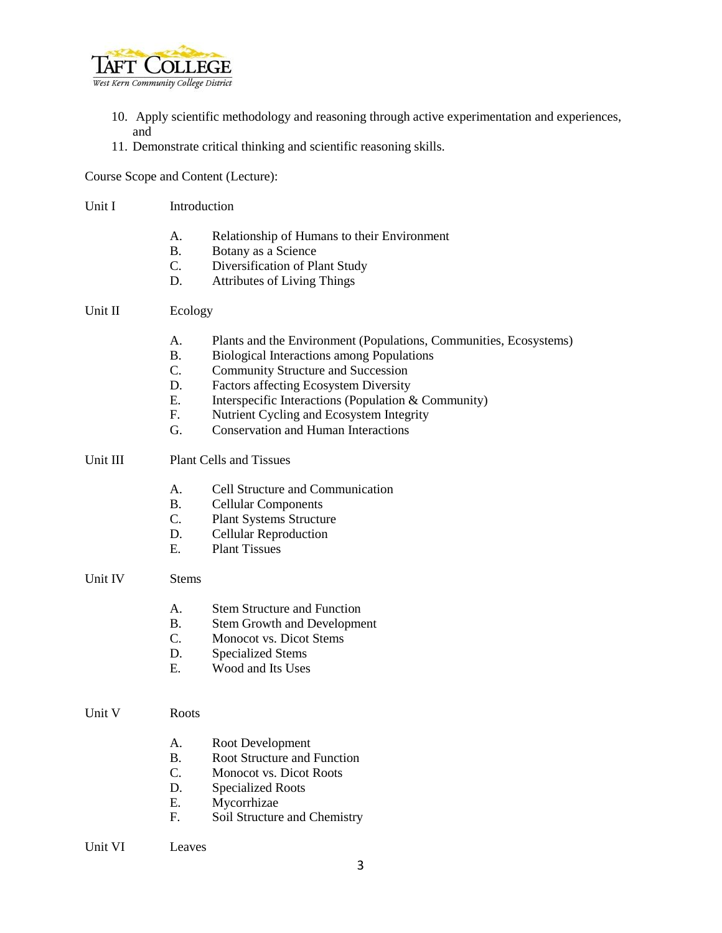

- 10. Apply scientific methodology and reasoning through active experimentation and experiences, and
- 11. Demonstrate critical thinking and scientific reasoning skills.

Course Scope and Content (Lecture):

- Unit I Introduction
	- A. Relationship of Humans to their Environment
	- B. Botany as a Science
	- C. Diversification of Plant Study
	- D. Attributes of Living Things

# Unit II Ecology

- A. Plants and the Environment (Populations, Communities, Ecosystems)
- B. Biological Interactions among Populations
- C. Community Structure and Succession
- D. Factors affecting Ecosystem Diversity
- E. Interspecific Interactions (Population & Community)
- F. Nutrient Cycling and Ecosystem Integrity
- G. Conservation and Human Interactions
- Unit III Plant Cells and Tissues
	- A. Cell Structure and Communication
	- B. Cellular Components
	- C. Plant Systems Structure
	- D. Cellular Reproduction
	- E. Plant Tissues
- Unit IV Stems
	- A. Stem Structure and Function
	- B. Stem Growth and Development
	- C. Monocot vs. Dicot Stems
	- D. Specialized Stems
	- E. Wood and Its Uses
- Unit V Roots
	- A. Root Development
	- B. Root Structure and Function
	- C. Monocot vs. Dicot Roots
	- D. Specialized Roots
	- E. Mycorrhizae
	- F. Soil Structure and Chemistry
- Unit VI Leaves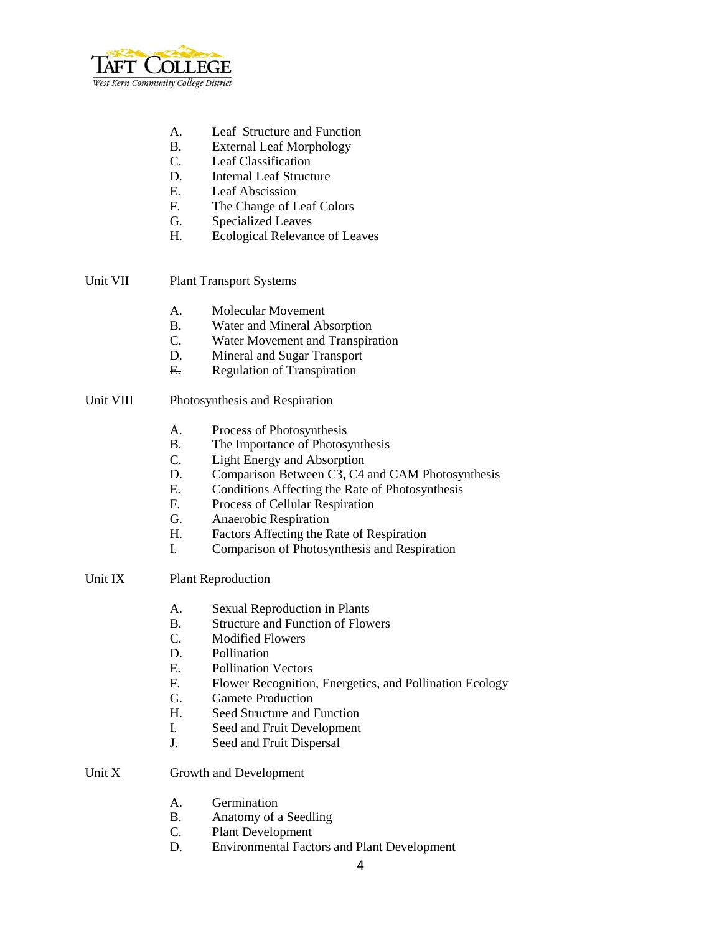

- A. Leaf Structure and Function
- B. External Leaf Morphology
- C. Leaf Classification
- D. Internal Leaf Structure
- E. Leaf Abscission
- F. The Change of Leaf Colors
- G. Specialized Leaves
- H. Ecological Relevance of Leaves

## Unit VII Plant Transport Systems

- A. Molecular Movement
- B. Water and Mineral Absorption
- C. Water Movement and Transpiration
- D. Mineral and Sugar Transport
- E. Regulation of Transpiration

## Unit VIII Photosynthesis and Respiration

- A. Process of Photosynthesis
- B. The Importance of Photosynthesis
- C. Light Energy and Absorption
- D. Comparison Between C3, C4 and CAM Photosynthesis
- E. Conditions Affecting the Rate of Photosynthesis
- F. Process of Cellular Respiration
- G. Anaerobic Respiration
- H. Factors Affecting the Rate of Respiration
- I. Comparison of Photosynthesis and Respiration

### Unit IX Plant Reproduction

- A. Sexual Reproduction in Plants
- B. Structure and Function of Flowers
- C. Modified Flowers
- D. Pollination
- E. Pollination Vectors
- F. Flower Recognition, Energetics, and Pollination Ecology
- G. Gamete Production
- H. Seed Structure and Function
- I. Seed and Fruit Development
- J. Seed and Fruit Dispersal

### Unit X Growth and Development

- A. Germination
- B. Anatomy of a Seedling
- C. Plant Development
- D. Environmental Factors and Plant Development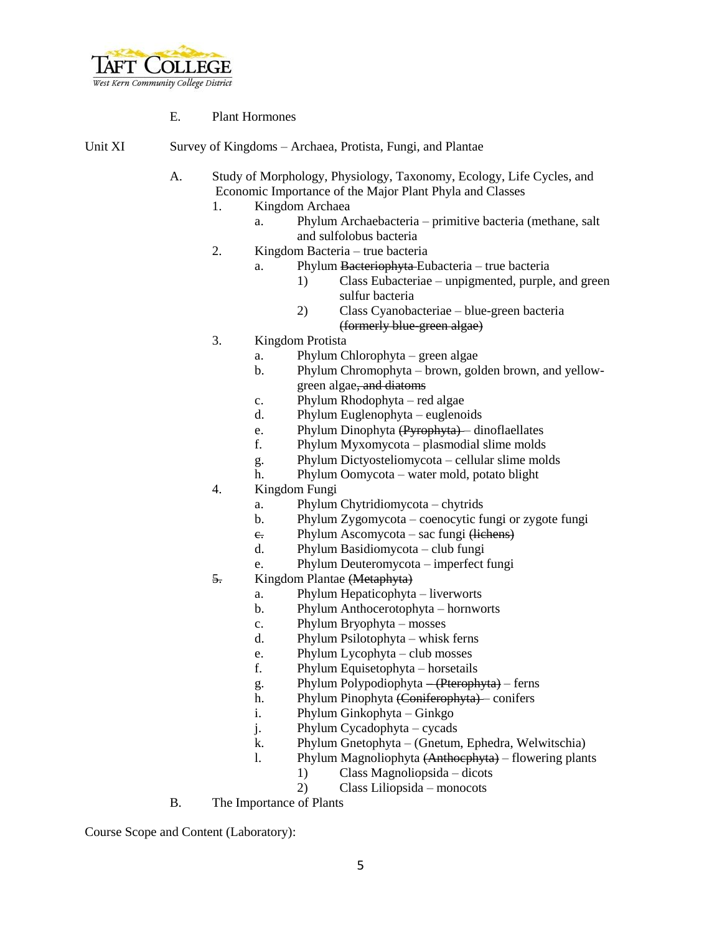

- E. Plant Hormones
- Unit XI Survey of Kingdoms Archaea, Protista, Fungi, and Plantae
	- A. Study of Morphology, Physiology, Taxonomy, Ecology, Life Cycles, and Economic Importance of the Major Plant Phyla and Classes
		- 1. Kingdom Archaea
			- a. Phylum Archaebacteria primitive bacteria (methane, salt and sulfolobus bacteria
		- 2. Kingdom Bacteria true bacteria
			- a. Phylum Bacteriophyta Eubacteria true bacteria
				- 1) Class Eubacteriae unpigmented, purple, and green sulfur bacteria
				- 2) Class Cyanobacteriae blue-green bacteria (formerly blue-green algae)
		- 3. Kingdom Protista
			- a. Phylum Chlorophyta green algae
			- b. Phylum Chromophyta brown, golden brown, and yellowgreen algae, and diatoms
			- c. Phylum Rhodophyta red algae
			- d. Phylum Euglenophyta euglenoids
			- e. Phylum Dinophyta (Pyrophyta) dinoflaellates
			- f. Phylum Myxomycota plasmodial slime molds
			- g. Phylum Dictyosteliomycota cellular slime molds
			- h. Phylum Oomycota water mold, potato blight
		- 4. Kingdom Fungi
			- a. Phylum Chytridiomycota chytrids
			- b. Phylum Zygomycota coenocytic fungi or zygote fungi
			- e. Phylum Ascomycota sac fungi (lichens)
			- d. Phylum Basidiomycota club fungi
			- e. Phylum Deuteromycota imperfect fungi
		- 5. Kingdom Plantae (Metaphyta)
			- a. Phylum Hepaticophyta liverworts
			- b. Phylum Anthocerotophyta hornworts
			- c. Phylum Bryophyta mosses
			- d. Phylum Psilotophyta whisk ferns
			- e. Phylum Lycophyta club mosses
			- f. Phylum Equisetophyta horsetails
			- g. Phylum Polypodiophyta (Pterophyta) ferns
			- h. Phylum Pinophyta (Coniferophyta) conifers
			- i. Phylum Ginkophyta Ginkgo
			- j. Phylum Cycadophyta cycads
			- k. Phylum Gnetophyta (Gnetum, Ephedra, Welwitschia)
			- l. Phylum Magnoliophyta (Anthocphyta) flowering plants
				- 1) Class Magnoliopsida dicots
					- 2) Class Liliopsida monocots
	- B. The Importance of Plants

Course Scope and Content (Laboratory):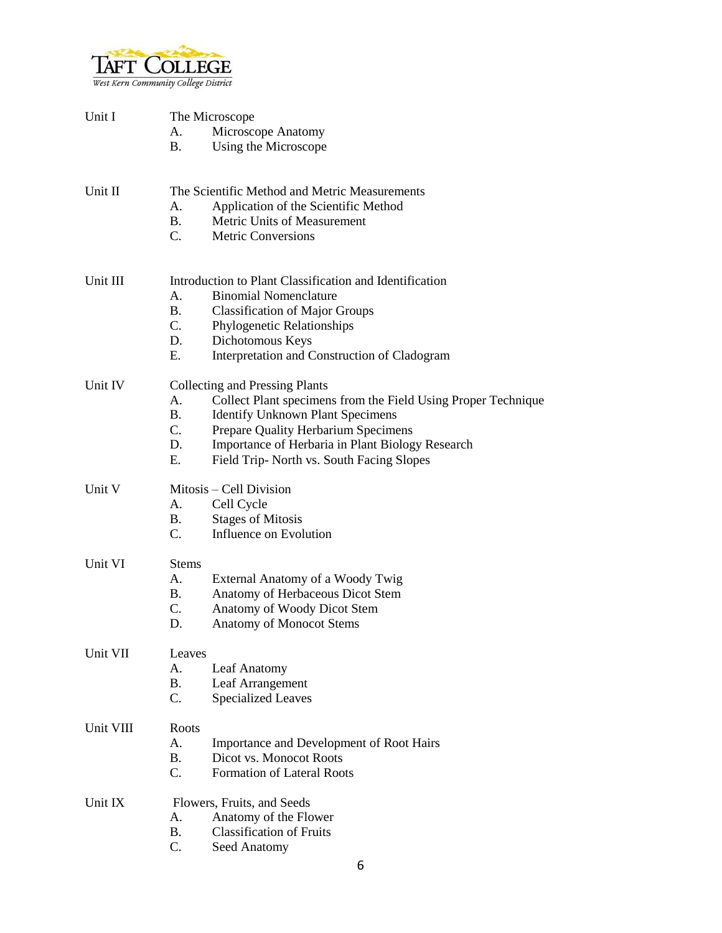

| Unit I    | The Microscope                                          |                                                               |  |  |
|-----------|---------------------------------------------------------|---------------------------------------------------------------|--|--|
|           | Microscope Anatomy<br>А.                                |                                                               |  |  |
|           | Β.                                                      | Using the Microscope                                          |  |  |
|           |                                                         |                                                               |  |  |
| Unit II   | The Scientific Method and Metric Measurements           |                                                               |  |  |
|           | А.                                                      | Application of the Scientific Method                          |  |  |
|           | <b>B.</b>                                               | Metric Units of Measurement                                   |  |  |
|           | C.                                                      | <b>Metric Conversions</b>                                     |  |  |
| Unit III  | Introduction to Plant Classification and Identification |                                                               |  |  |
|           | <b>Binomial Nomenclature</b><br>A.                      |                                                               |  |  |
|           | В.                                                      | <b>Classification of Major Groups</b>                         |  |  |
|           | $C_{\cdot}$                                             | Phylogenetic Relationships                                    |  |  |
|           | D.                                                      | Dichotomous Keys                                              |  |  |
|           | Ε.                                                      | Interpretation and Construction of Cladogram                  |  |  |
| Unit IV   |                                                         | <b>Collecting and Pressing Plants</b>                         |  |  |
|           | A.                                                      | Collect Plant specimens from the Field Using Proper Technique |  |  |
|           | В.                                                      | <b>Identify Unknown Plant Specimens</b>                       |  |  |
|           | C.                                                      | Prepare Quality Herbarium Specimens                           |  |  |
|           | D.                                                      | Importance of Herbaria in Plant Biology Research              |  |  |
|           | E.                                                      | Field Trip- North vs. South Facing Slopes                     |  |  |
| Unit V    | Mitosis – Cell Division                                 |                                                               |  |  |
|           | A.                                                      | Cell Cycle                                                    |  |  |
|           | В.                                                      | <b>Stages of Mitosis</b>                                      |  |  |
|           | C.                                                      | Influence on Evolution                                        |  |  |
| Unit VI   | <b>Stems</b>                                            |                                                               |  |  |
|           | А.                                                      | External Anatomy of a Woody Twig                              |  |  |
|           | В.                                                      | Anatomy of Herbaceous Dicot Stem                              |  |  |
|           | C.<br>D.                                                | Anatomy of Woody Dicot Stem                                   |  |  |
|           |                                                         | <b>Anatomy of Monocot Stems</b>                               |  |  |
| Unit VII  | Leaves                                                  |                                                               |  |  |
|           | А.                                                      | Leaf Anatomy                                                  |  |  |
|           | <b>B.</b>                                               | Leaf Arrangement                                              |  |  |
|           | C.                                                      | <b>Specialized Leaves</b>                                     |  |  |
| Unit VIII | Roots                                                   |                                                               |  |  |
|           | A.                                                      | Importance and Development of Root Hairs                      |  |  |
|           | <b>B.</b>                                               | Dicot vs. Monocot Roots                                       |  |  |
|           | C.                                                      | Formation of Lateral Roots                                    |  |  |
| Unit IX   | Flowers, Fruits, and Seeds                              |                                                               |  |  |
|           | A.                                                      | Anatomy of the Flower                                         |  |  |
|           | <b>B.</b>                                               | <b>Classification of Fruits</b>                               |  |  |
|           | C.                                                      | Seed Anatomy                                                  |  |  |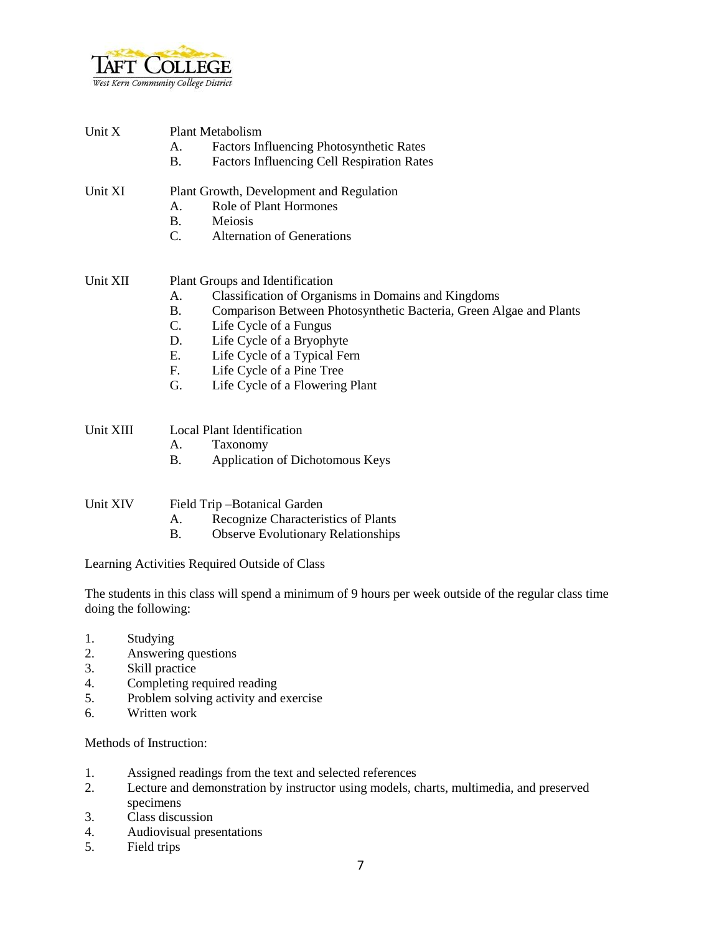

| Unit X    | <b>Plant Metabolism</b><br>Factors Influencing Photosynthetic Rates<br>A.<br><b>Factors Influencing Cell Respiration Rates</b><br>B.                                                                                                                                                                                                                                          |  |
|-----------|-------------------------------------------------------------------------------------------------------------------------------------------------------------------------------------------------------------------------------------------------------------------------------------------------------------------------------------------------------------------------------|--|
| Unit XI   | Plant Growth, Development and Regulation<br>Role of Plant Hormones<br>A.<br><b>B.</b><br>Meiosis<br>$C_{\cdot}$<br><b>Alternation of Generations</b>                                                                                                                                                                                                                          |  |
| Unit XII  | Plant Groups and Identification<br>A.<br>Classification of Organisms in Domains and Kingdoms<br>Comparison Between Photosynthetic Bacteria, Green Algae and Plants<br><b>B.</b><br>$C_{\cdot}$<br>Life Cycle of a Fungus<br>Life Cycle of a Bryophyte<br>D.<br>E.<br>Life Cycle of a Typical Fern<br>F.<br>Life Cycle of a Pine Tree<br>G.<br>Life Cycle of a Flowering Plant |  |
| Unit XIII | Local Plant Identification<br>A.<br>Taxonomy<br>Application of Dichotomous Keys<br><b>B.</b>                                                                                                                                                                                                                                                                                  |  |
| Unit XIV  | Field Trip-Botanical Garden<br>Recognize Characteristics of Plants<br>A.<br><b>B.</b><br><b>Observe Evolutionary Relationships</b>                                                                                                                                                                                                                                            |  |
|           | Learning Activities Required Outside of Class                                                                                                                                                                                                                                                                                                                                 |  |

The students in this class will spend a minimum of 9 hours per week outside of the regular class time doing the following:

- 1. Studying
- 2. Answering questions
- 3. Skill practice
- 4. Completing required reading
- 5. Problem solving activity and exercise
- 6. Written work

Methods of Instruction:

- 1. Assigned readings from the text and selected references
- 2. Lecture and demonstration by instructor using models, charts, multimedia, and preserved specimens
- 3. Class discussion
- 4. Audiovisual presentations
- 5. Field trips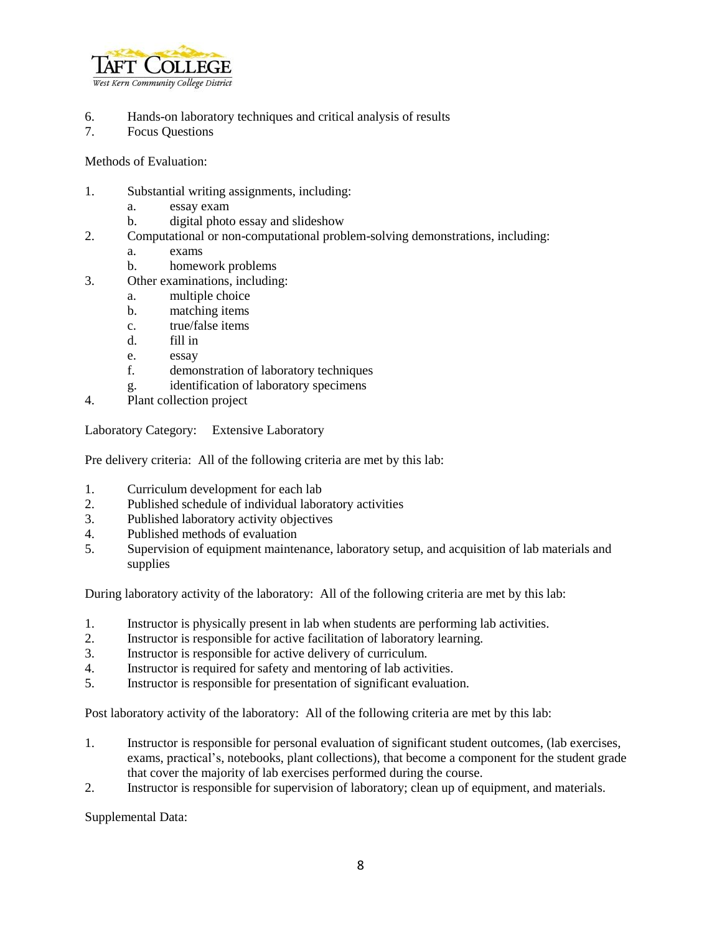

- 6. Hands-on laboratory techniques and critical analysis of results
- 7. Focus Questions

Methods of Evaluation:

- 1. Substantial writing assignments, including:
	- a. essay exam
	- b. digital photo essay and slideshow
- 2. Computational or non-computational problem-solving demonstrations, including:
	- a. exams
	- b. homework problems
- 3. Other examinations, including:
	- a. multiple choice
	- b. matching items
	- c. true/false items
	- d. fill in
	- e. essay
	- f. demonstration of laboratory techniques
	- g. identification of laboratory specimens
- 4. Plant collection project

Laboratory Category: Extensive Laboratory

Pre delivery criteria: All of the following criteria are met by this lab:

- 1. Curriculum development for each lab
- 2. Published schedule of individual laboratory activities
- 3. Published laboratory activity objectives
- 4. Published methods of evaluation
- 5. Supervision of equipment maintenance, laboratory setup, and acquisition of lab materials and supplies

During laboratory activity of the laboratory: All of the following criteria are met by this lab:

- 1. Instructor is physically present in lab when students are performing lab activities.
- 2. Instructor is responsible for active facilitation of laboratory learning.
- 3. Instructor is responsible for active delivery of curriculum.
- 4. Instructor is required for safety and mentoring of lab activities.
- 5. Instructor is responsible for presentation of significant evaluation.

Post laboratory activity of the laboratory: All of the following criteria are met by this lab:

- 1. Instructor is responsible for personal evaluation of significant student outcomes, (lab exercises, exams, practical's, notebooks, plant collections), that become a component for the student grade that cover the majority of lab exercises performed during the course.
- 2. Instructor is responsible for supervision of laboratory; clean up of equipment, and materials.

Supplemental Data: